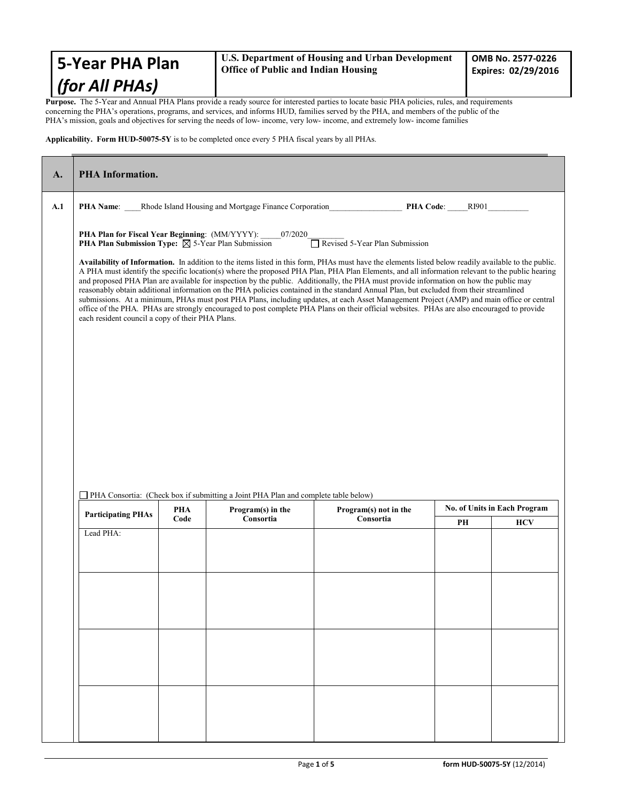| <b>S-Year PHA Plan</b>                                                                                                                           | U.S. Department of Housing and Urban Development<br><b>Office of Public and Indian Housing</b> | OMB No. 2577-0226<br><b>Expires: 02/29/2016</b> |  |
|--------------------------------------------------------------------------------------------------------------------------------------------------|------------------------------------------------------------------------------------------------|-------------------------------------------------|--|
| $ $ (for All PHAs)                                                                                                                               |                                                                                                |                                                 |  |
| Dunnees - The 5 Vesus and Anguel DUA Dlens massides a needy counse for interested mention to locate heave DUA noticies - miles - and nominaments |                                                                                                |                                                 |  |

**Purpose.** The 5-Year and Annual PHA Plans provide a ready source for interested parties to locate basic PHA policies, rules, and requirements concerning the PHA's operations, programs, and services, and informs HUD, families served by the PHA, and members of the public of the PHA's mission, goals and objectives for serving the needs of low- income, very low- income, and extremely low- income families

**Applicability. Form HUD-50075-5Y** is to be completed once every 5 PHA fiscal years by all PHAs.

| A.  | <b>PHA</b> Information.                                                                                                                                                                                                                                                                                                                                                                                                                                                                                                                                                                                                                                                                                                                                                                                                                                                                                                                                                                                                                                                                                    |                                                                                    |                                                                                                         |                       |  |                              |            |
|-----|------------------------------------------------------------------------------------------------------------------------------------------------------------------------------------------------------------------------------------------------------------------------------------------------------------------------------------------------------------------------------------------------------------------------------------------------------------------------------------------------------------------------------------------------------------------------------------------------------------------------------------------------------------------------------------------------------------------------------------------------------------------------------------------------------------------------------------------------------------------------------------------------------------------------------------------------------------------------------------------------------------------------------------------------------------------------------------------------------------|------------------------------------------------------------------------------------|---------------------------------------------------------------------------------------------------------|-----------------------|--|------------------------------|------------|
| A.1 |                                                                                                                                                                                                                                                                                                                                                                                                                                                                                                                                                                                                                                                                                                                                                                                                                                                                                                                                                                                                                                                                                                            | PHA Name: Rhode Island Housing and Mortgage Finance Corporation<br>PHA Code: RI901 |                                                                                                         |                       |  |                              |            |
|     | PHA Plan for Fiscal Year Beginning: (MM/YYYY):<br>07/2020<br>Revised 5-Year Plan Submission<br>PHA Plan Submission Type: $\boxtimes$ 5-Year Plan Submission<br>Availability of Information. In addition to the items listed in this form, PHAs must have the elements listed below readily available to the public.<br>A PHA must identify the specific location(s) where the proposed PHA Plan, PHA Plan Elements, and all information relevant to the public hearing<br>and proposed PHA Plan are available for inspection by the public. Additionally, the PHA must provide information on how the public may<br>reasonably obtain additional information on the PHA policies contained in the standard Annual Plan, but excluded from their streamlined<br>submissions. At a minimum, PHAs must post PHA Plans, including updates, at each Asset Management Project (AMP) and main office or central<br>office of the PHA. PHAs are strongly encouraged to post complete PHA Plans on their official websites. PHAs are also encouraged to provide<br>each resident council a copy of their PHA Plans. |                                                                                    |                                                                                                         |                       |  |                              |            |
|     |                                                                                                                                                                                                                                                                                                                                                                                                                                                                                                                                                                                                                                                                                                                                                                                                                                                                                                                                                                                                                                                                                                            | PHA                                                                                | PHA Consortia: (Check box if submitting a Joint PHA Plan and complete table below)<br>Program(s) in the | Program(s) not in the |  | No. of Units in Each Program |            |
|     | <b>Participating PHAs</b>                                                                                                                                                                                                                                                                                                                                                                                                                                                                                                                                                                                                                                                                                                                                                                                                                                                                                                                                                                                                                                                                                  | Code                                                                               | Consortia                                                                                               | Consortia             |  | PH                           | <b>HCV</b> |
|     | Lead PHA:                                                                                                                                                                                                                                                                                                                                                                                                                                                                                                                                                                                                                                                                                                                                                                                                                                                                                                                                                                                                                                                                                                  |                                                                                    |                                                                                                         |                       |  |                              |            |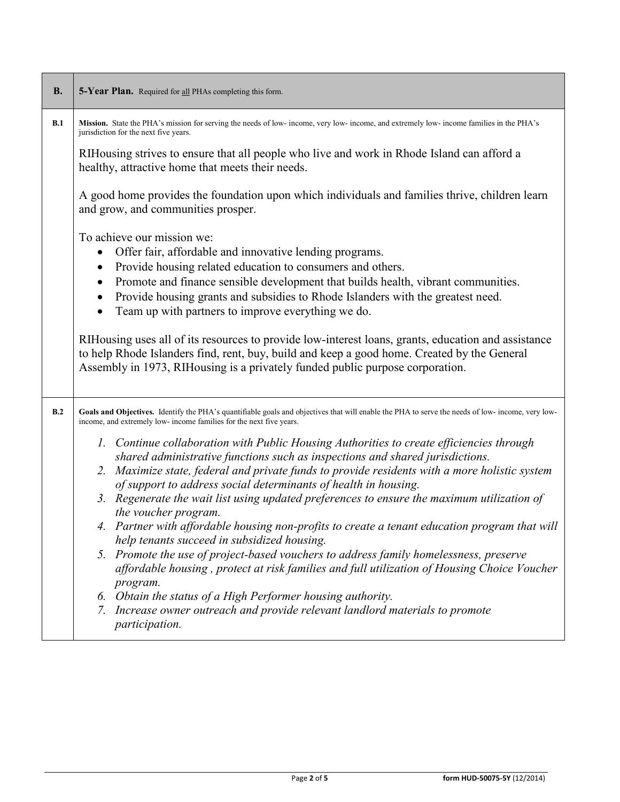| <b>B.</b> | 5-Year Plan. Required for all PHAs completing this form.                                                                                                                                                                                                                                                                                                                                                                                                                                                                                                                                                                                                                                                                                                                                                                                                                                                                                                                                                                                                                                                                                                                                                            |  |  |  |  |  |  |
|-----------|---------------------------------------------------------------------------------------------------------------------------------------------------------------------------------------------------------------------------------------------------------------------------------------------------------------------------------------------------------------------------------------------------------------------------------------------------------------------------------------------------------------------------------------------------------------------------------------------------------------------------------------------------------------------------------------------------------------------------------------------------------------------------------------------------------------------------------------------------------------------------------------------------------------------------------------------------------------------------------------------------------------------------------------------------------------------------------------------------------------------------------------------------------------------------------------------------------------------|--|--|--|--|--|--|
| B.1       | Mission. State the PHA's mission for serving the needs of low- income, very low- income, and extremely low- income families in the PHA's<br>jurisdiction for the next five years.                                                                                                                                                                                                                                                                                                                                                                                                                                                                                                                                                                                                                                                                                                                                                                                                                                                                                                                                                                                                                                   |  |  |  |  |  |  |
|           | RIHousing strives to ensure that all people who live and work in Rhode Island can afford a<br>healthy, attractive home that meets their needs.                                                                                                                                                                                                                                                                                                                                                                                                                                                                                                                                                                                                                                                                                                                                                                                                                                                                                                                                                                                                                                                                      |  |  |  |  |  |  |
|           | A good home provides the foundation upon which individuals and families thrive, children learn<br>and grow, and communities prosper.                                                                                                                                                                                                                                                                                                                                                                                                                                                                                                                                                                                                                                                                                                                                                                                                                                                                                                                                                                                                                                                                                |  |  |  |  |  |  |
|           | To achieve our mission we:<br>Offer fair, affordable and innovative lending programs.<br>Provide housing related education to consumers and others.<br>$\bullet$<br>Promote and finance sensible development that builds health, vibrant communities.<br>$\bullet$<br>Provide housing grants and subsidies to Rhode Islanders with the greatest need.<br>$\bullet$<br>Team up with partners to improve everything we do.<br>RIHousing uses all of its resources to provide low-interest loans, grants, education and assistance<br>to help Rhode Islanders find, rent, buy, build and keep a good home. Created by the General<br>Assembly in 1973, RIHousing is a privately funded public purpose corporation.                                                                                                                                                                                                                                                                                                                                                                                                                                                                                                     |  |  |  |  |  |  |
| B.2       | Goals and Objectives. Identify the PHA's quantifiable goals and objectives that will enable the PHA to serve the needs of low-income, very low-<br>income, and extremely low- income families for the next five years.<br>1. Continue collaboration with Public Housing Authorities to create efficiencies through<br>shared administrative functions such as inspections and shared jurisdictions.<br>2. Maximize state, federal and private funds to provide residents with a more holistic system<br>of support to address social determinants of health in housing.<br>3. Regenerate the wait list using updated preferences to ensure the maximum utilization of<br>the voucher program.<br>4. Partner with affordable housing non-profits to create a tenant education program that will<br>help tenants succeed in subsidized housing.<br>5. Promote the use of project-based vouchers to address family homelessness, preserve<br>affordable housing, protect at risk families and full utilization of Housing Choice Voucher<br>program.<br>6. Obtain the status of a High Performer housing authority.<br>7. Increase owner outreach and provide relevant landlord materials to promote<br>participation. |  |  |  |  |  |  |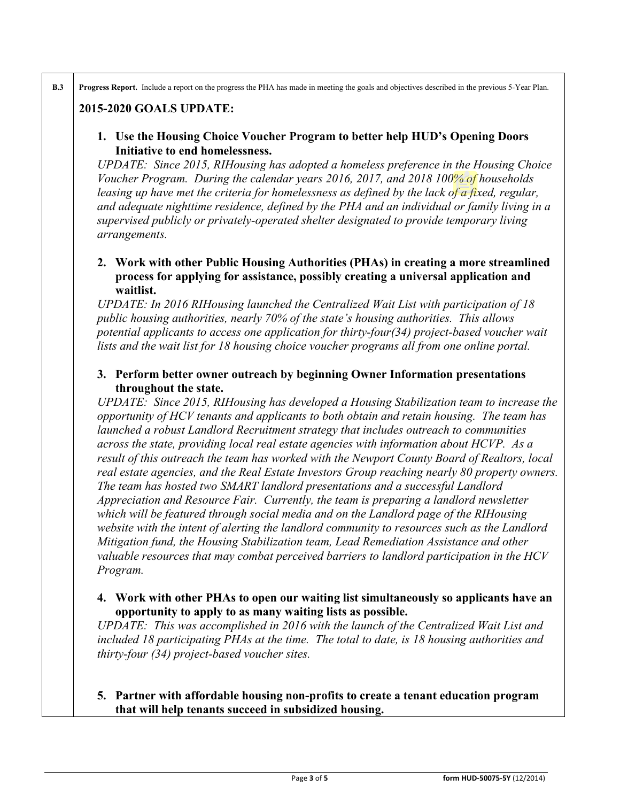**B.3 Progress Report.** Include a report on the progress the PHA has made in meeting the goals and objectives described in the previous 5-Year Plan.

# **2015-2020 GOALS UPDATE:**

## **1. Use the Housing Choice Voucher Program to better help HUD's Opening Doors Initiative to end homelessness.**

*UPDATE: Since 2015, RIHousing has adopted a homeless preference in the Housing Choice Voucher Program. During the calendar years 2016, 2017, and 2018 100% of households leasing up have met the criteria for homelessness as defined by the lack of a fixed, regular, and adequate nighttime residence, defined by the PHA and an individual or family living in a supervised publicly or privately-operated shelter designated to provide temporary living arrangements.* 

## **2. Work with other Public Housing Authorities (PHAs) in creating a more streamlined process for applying for assistance, possibly creating a universal application and waitlist.**

*UPDATE: In 2016 RIHousing launched the Centralized Wait List with participation of 18 public housing authorities, nearly 70% of the state's housing authorities. This allows potential applicants to access one application for thirty-four(34) project-based voucher wait lists and the wait list for 18 housing choice voucher programs all from one online portal.*

### **3. Perform better owner outreach by beginning Owner Information presentations throughout the state.**

*UPDATE: Since 2015, RIHousing has developed a Housing Stabilization team to increase the opportunity of HCV tenants and applicants to both obtain and retain housing. The team has launched a robust Landlord Recruitment strategy that includes outreach to communities across the state, providing local real estate agencies with information about HCVP. As a result of this outreach the team has worked with the Newport County Board of Realtors, local real estate agencies, and the Real Estate Investors Group reaching nearly 80 property owners. The team has hosted two SMART landlord presentations and a successful Landlord Appreciation and Resource Fair. Currently, the team is preparing a landlord newsletter which will be featured through social media and on the Landlord page of the RIHousing website with the intent of alerting the landlord community to resources such as the Landlord Mitigation fund, the Housing Stabilization team, Lead Remediation Assistance and other valuable resources that may combat perceived barriers to landlord participation in the HCV Program.*

## **4. Work with other PHAs to open our waiting list simultaneously so applicants have an opportunity to apply to as many waiting lists as possible.**

*UPDATE: This was accomplished in 2016 with the launch of the Centralized Wait List and included 18 participating PHAs at the time. The total to date, is 18 housing authorities and thirty-four (34) project-based voucher sites.*

## **5. Partner with affordable housing non-profits to create a tenant education program that will help tenants succeed in subsidized housing.**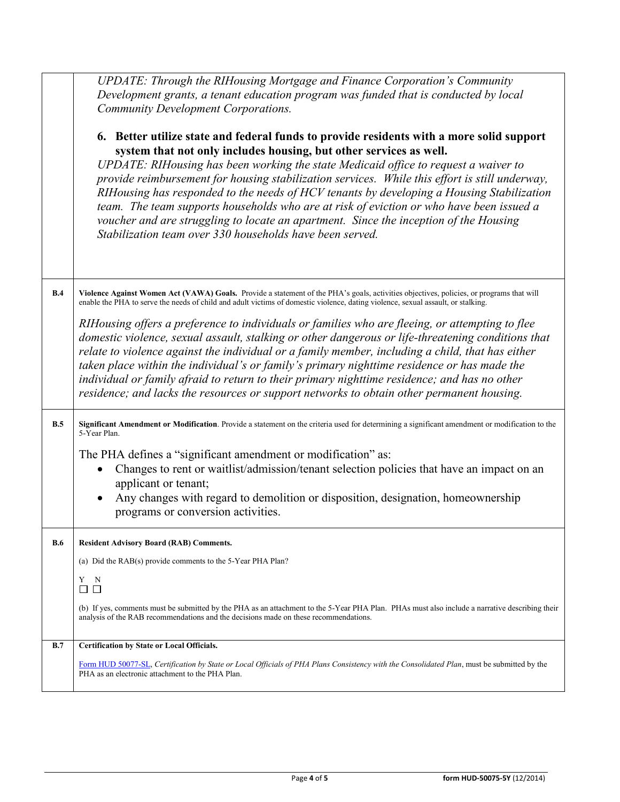|     | UPDATE: Through the RIHousing Mortgage and Finance Corporation's Community<br>Development grants, a tenant education program was funded that is conducted by local<br><b>Community Development Corporations.</b><br>6. Better utilize state and federal funds to provide residents with a more solid support<br>system that not only includes housing, but other services as well.<br>UPDATE: RIHousing has been working the state Medicaid office to request a waiver to<br>provide reimbursement for housing stabilization services. While this effort is still underway,<br>RIHousing has responded to the needs of HCV tenants by developing a Housing Stabilization<br>team. The team supports households who are at risk of eviction or who have been issued a<br>voucher and are struggling to locate an apartment. Since the inception of the Housing<br>Stabilization team over 330 households have been served. |
|-----|---------------------------------------------------------------------------------------------------------------------------------------------------------------------------------------------------------------------------------------------------------------------------------------------------------------------------------------------------------------------------------------------------------------------------------------------------------------------------------------------------------------------------------------------------------------------------------------------------------------------------------------------------------------------------------------------------------------------------------------------------------------------------------------------------------------------------------------------------------------------------------------------------------------------------|
| B.4 | Violence Against Women Act (VAWA) Goals. Provide a statement of the PHA's goals, activities objectives, policies, or programs that will<br>enable the PHA to serve the needs of child and adult victims of domestic violence, dating violence, sexual assault, or stalking.<br>RIHousing offers a preference to individuals or families who are fleeing, or attempting to flee<br>domestic violence, sexual assault, stalking or other dangerous or life-threatening conditions that<br>relate to violence against the individual or a family member, including a child, that has either<br>taken place within the individual's or family's primary nighttime residence or has made the<br>individual or family afraid to return to their primary nighttime residence; and has no other<br>residence; and lacks the resources or support networks to obtain other permanent housing.                                      |
| B.5 | Significant Amendment or Modification. Provide a statement on the criteria used for determining a significant amendment or modification to the<br>5-Year Plan.<br>The PHA defines a "significant amendment or modification" as:<br>Changes to rent or waitlist/admission/tenant selection policies that have an impact on an<br>applicant or tenant;<br>Any changes with regard to demolition or disposition, designation, homeownership<br>programs or conversion activities.                                                                                                                                                                                                                                                                                                                                                                                                                                            |
| B.6 | <b>Resident Advisory Board (RAB) Comments.</b><br>(a) Did the RAB(s) provide comments to the 5-Year PHA Plan?<br>Y<br>N<br>$\square$ $\square$<br>(b) If yes, comments must be submitted by the PHA as an attachment to the 5-Year PHA Plan. PHAs must also include a narrative describing their<br>analysis of the RAB recommendations and the decisions made on these recommendations.                                                                                                                                                                                                                                                                                                                                                                                                                                                                                                                                  |
| B.7 | <b>Certification by State or Local Officials.</b><br>Form HUD 50077-SL, Certification by State or Local Officials of PHA Plans Consistency with the Consolidated Plan, must be submitted by the<br>PHA as an electronic attachment to the PHA Plan.                                                                                                                                                                                                                                                                                                                                                                                                                                                                                                                                                                                                                                                                       |